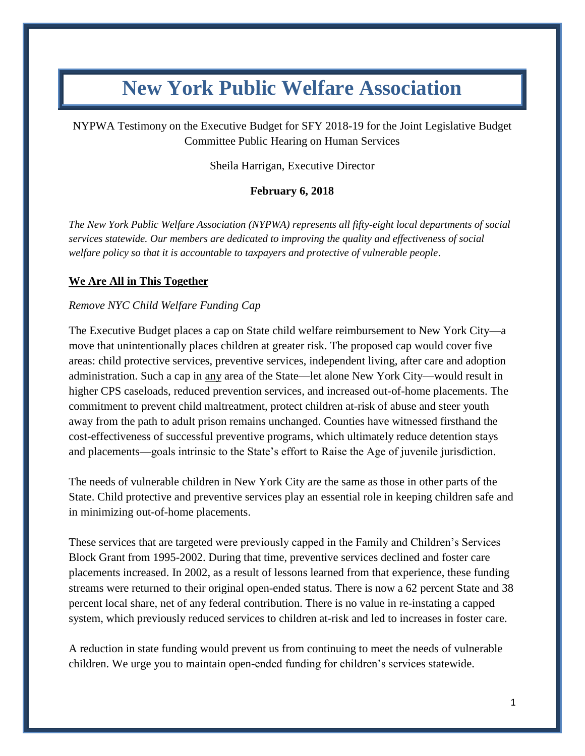# **New York Public Welfare Association**

NYPWA Testimony on the Executive Budget for SFY 2018-19 for the Joint Legislative Budget Committee Public Hearing on Human Services

Sheila Harrigan, Executive Director

# **February 6, 2018**

*The New York Public Welfare Association (NYPWA) represents all fifty-eight local departments of social services statewide. Our members are dedicated to improving the quality and effectiveness of social welfare policy so that it is accountable to taxpayers and protective of vulnerable people*.

## **We Are All in This Together**

#### *Remove NYC Child Welfare Funding Cap*

The Executive Budget places a cap on State child welfare reimbursement to New York City—a move that unintentionally places children at greater risk. The proposed cap would cover five areas: child protective services, preventive services, independent living, after care and adoption administration. Such a cap in any area of the State—let alone New York City—would result in higher CPS caseloads, reduced prevention services, and increased out-of-home placements. The commitment to prevent child maltreatment, protect children at-risk of abuse and steer youth away from the path to adult prison remains unchanged. Counties have witnessed firsthand the cost-effectiveness of successful preventive programs, which ultimately reduce detention stays and placements—goals intrinsic to the State's effort to Raise the Age of juvenile jurisdiction.

The needs of vulnerable children in New York City are the same as those in other parts of the State. Child protective and preventive services play an essential role in keeping children safe and in minimizing out-of-home placements.

These services that are targeted were previously capped in the Family and Children's Services Block Grant from 1995-2002. During that time, preventive services declined and foster care placements increased. In 2002, as a result of lessons learned from that experience, these funding streams were returned to their original open-ended status. There is now a 62 percent State and 38 percent local share, net of any federal contribution. There is no value in re-instating a capped system, which previously reduced services to children at-risk and led to increases in foster care.

A reduction in state funding would prevent us from continuing to meet the needs of vulnerable children. We urge you to maintain open-ended funding for children's services statewide.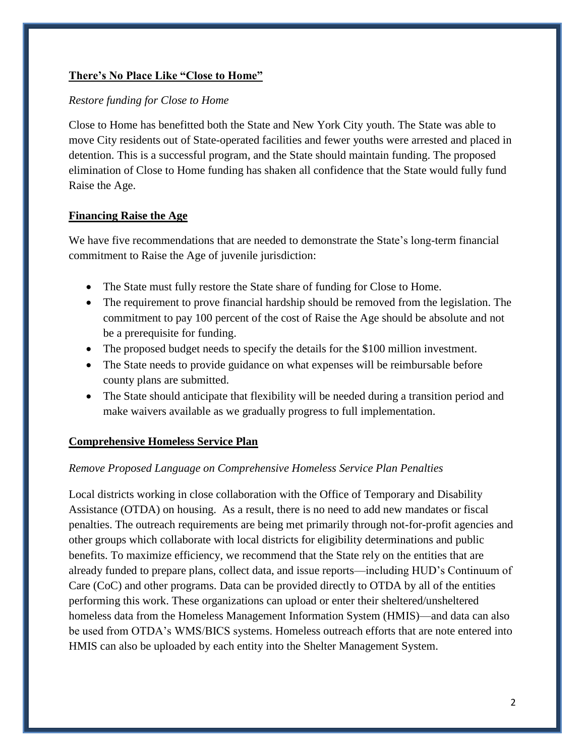# **There's No Place Like "Close to Home"**

## *Restore funding for Close to Home*

Close to Home has benefitted both the State and New York City youth. The State was able to move City residents out of State-operated facilities and fewer youths were arrested and placed in detention. This is a successful program, and the State should maintain funding. The proposed elimination of Close to Home funding has shaken all confidence that the State would fully fund Raise the Age.

## **Financing Raise the Age**

We have five recommendations that are needed to demonstrate the State's long-term financial commitment to Raise the Age of juvenile jurisdiction:

- The State must fully restore the State share of funding for Close to Home.
- The requirement to prove financial hardship should be removed from the legislation. The commitment to pay 100 percent of the cost of Raise the Age should be absolute and not be a prerequisite for funding.
- The proposed budget needs to specify the details for the \$100 million investment.
- The State needs to provide guidance on what expenses will be reimbursable before county plans are submitted.
- The State should anticipate that flexibility will be needed during a transition period and make waivers available as we gradually progress to full implementation.

#### **Comprehensive Homeless Service Plan**

#### *Remove Proposed Language on Comprehensive Homeless Service Plan Penalties*

Local districts working in close collaboration with the Office of Temporary and Disability Assistance (OTDA) on housing. As a result, there is no need to add new mandates or fiscal penalties. The outreach requirements are being met primarily through not-for-profit agencies and other groups which collaborate with local districts for eligibility determinations and public benefits. To maximize efficiency, we recommend that the State rely on the entities that are already funded to prepare plans, collect data, and issue reports—including HUD's Continuum of Care (CoC) and other programs. Data can be provided directly to OTDA by all of the entities performing this work. These organizations can upload or enter their sheltered/unsheltered homeless data from the Homeless Management Information System (HMIS)—and data can also be used from OTDA's WMS/BICS systems. Homeless outreach efforts that are note entered into HMIS can also be uploaded by each entity into the Shelter Management System.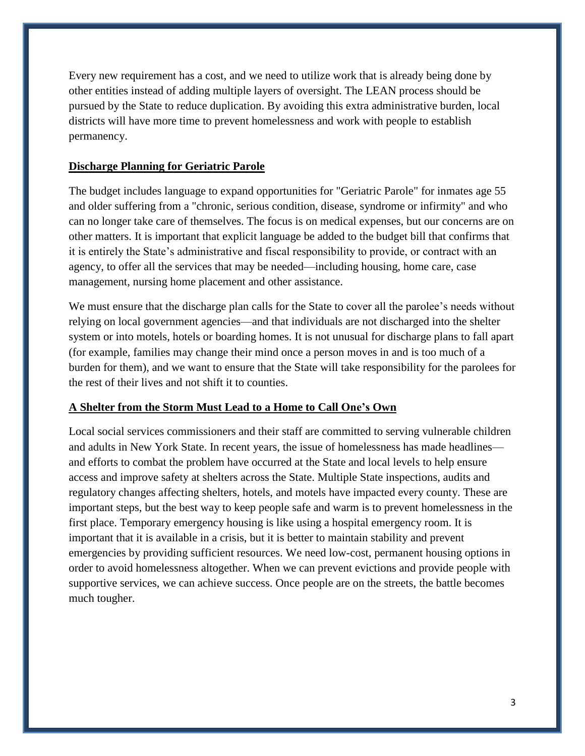Every new requirement has a cost, and we need to utilize work that is already being done by other entities instead of adding multiple layers of oversight. The LEAN process should be pursued by the State to reduce duplication. By avoiding this extra administrative burden, local districts will have more time to prevent homelessness and work with people to establish permanency.

#### **Discharge Planning for Geriatric Parole**

The budget includes language to expand opportunities for "Geriatric Parole" for inmates age 55 and older suffering from a "chronic, serious condition, disease, syndrome or infirmity" and who can no longer take care of themselves. The focus is on medical expenses, but our concerns are on other matters. It is important that explicit language be added to the budget bill that confirms that it is entirely the State's administrative and fiscal responsibility to provide, or contract with an agency, to offer all the services that may be needed—including housing, home care, case management, nursing home placement and other assistance.

We must ensure that the discharge plan calls for the State to cover all the parolee's needs without relying on local government agencies—and that individuals are not discharged into the shelter system or into motels, hotels or boarding homes. It is not unusual for discharge plans to fall apart (for example, families may change their mind once a person moves in and is too much of a burden for them), and we want to ensure that the State will take responsibility for the parolees for the rest of their lives and not shift it to counties.

#### **A Shelter from the Storm Must Lead to a Home to Call One's Own**

Local social services commissioners and their staff are committed to serving vulnerable children and adults in New York State. In recent years, the issue of homelessness has made headlines and efforts to combat the problem have occurred at the State and local levels to help ensure access and improve safety at shelters across the State. Multiple State inspections, audits and regulatory changes affecting shelters, hotels, and motels have impacted every county. These are important steps, but the best way to keep people safe and warm is to prevent homelessness in the first place. Temporary emergency housing is like using a hospital emergency room. It is important that it is available in a crisis, but it is better to maintain stability and prevent emergencies by providing sufficient resources. We need low-cost, permanent housing options in order to avoid homelessness altogether. When we can prevent evictions and provide people with supportive services, we can achieve success. Once people are on the streets, the battle becomes much tougher.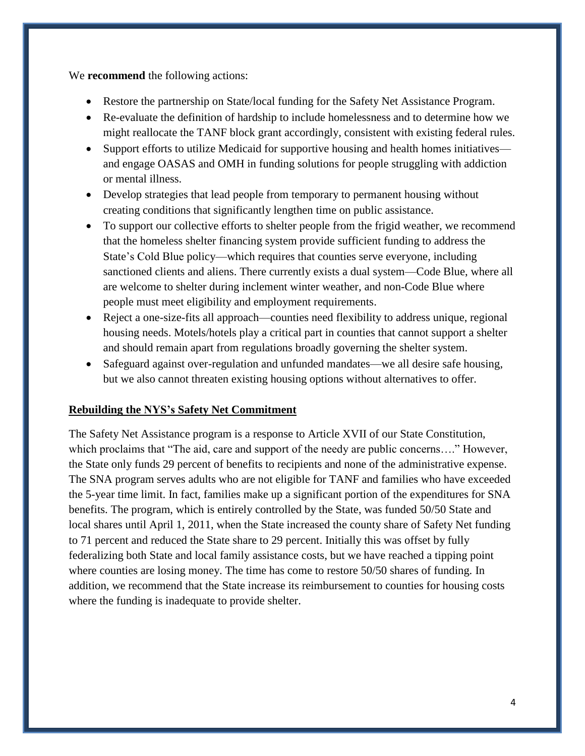We **recommend** the following actions:

- Restore the partnership on State/local funding for the Safety Net Assistance Program.
- Re-evaluate the definition of hardship to include homelessness and to determine how we might reallocate the TANF block grant accordingly, consistent with existing federal rules.
- Support efforts to utilize Medicaid for supportive housing and health homes initiatives and engage OASAS and OMH in funding solutions for people struggling with addiction or mental illness.
- Develop strategies that lead people from temporary to permanent housing without creating conditions that significantly lengthen time on public assistance.
- To support our collective efforts to shelter people from the frigid weather, we recommend that the homeless shelter financing system provide sufficient funding to address the State's Cold Blue policy—which requires that counties serve everyone, including sanctioned clients and aliens. There currently exists a dual system—Code Blue, where all are welcome to shelter during inclement winter weather, and non-Code Blue where people must meet eligibility and employment requirements.
- Reject a one-size-fits all approach—counties need flexibility to address unique, regional housing needs. Motels/hotels play a critical part in counties that cannot support a shelter and should remain apart from regulations broadly governing the shelter system.
- Safeguard against over-regulation and unfunded mandates—we all desire safe housing, but we also cannot threaten existing housing options without alternatives to offer.

# **Rebuilding the NYS's Safety Net Commitment**

The Safety Net Assistance program is a response to Article XVII of our State Constitution, which proclaims that "The aid, care and support of the needy are public concerns...." However, the State only funds 29 percent of benefits to recipients and none of the administrative expense. The SNA program serves adults who are not eligible for TANF and families who have exceeded the 5-year time limit. In fact, families make up a significant portion of the expenditures for SNA benefits. The program, which is entirely controlled by the State, was funded 50/50 State and local shares until April 1, 2011, when the State increased the county share of Safety Net funding to 71 percent and reduced the State share to 29 percent. Initially this was offset by fully federalizing both State and local family assistance costs, but we have reached a tipping point where counties are losing money. The time has come to restore 50/50 shares of funding. In addition, we recommend that the State increase its reimbursement to counties for housing costs where the funding is inadequate to provide shelter.